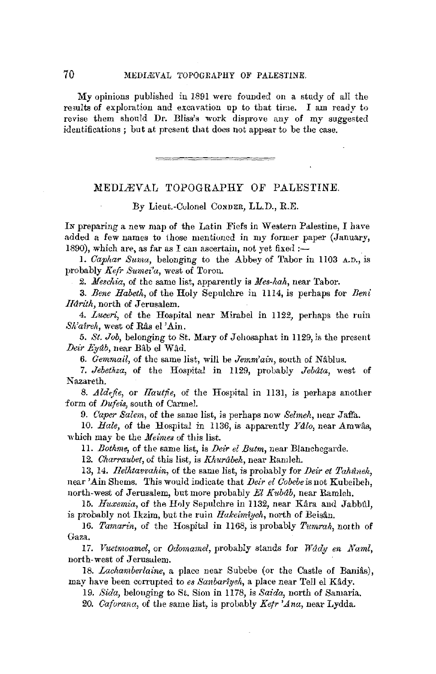My opinions published in 1891 were founded on a study of all the results of exploration and excavation up to that time. I am ready to revise them should Dr. Bliss'8 work disprove any of my suggested identifications ; but at present that does not appear to be the case.

## MEDIÆVAL TOPOGRAPHY OF PALESTINE.

By Lieut.-Colonel CONDER, LL.D., R.E.

IN preparing a new map of the Latin Fiefs in Western Palestine, I have added a few names to those mentioned in my former paper (January, 1890), which are, as far as I can ascertain, not yet fixed :-

1. *Caphar Suma*, belonging to the Abbey of Tabor in 1103 A.D., is probably *Kefr Surnei'a,* west of Toron.

2. *Meschia*, of the same list, apparently is *Mes-hah*, near Tabor.

3. *Bene Habeth,* of the Holy Sepulchre in 1114, is perhaps for *Beni IIa?'ith,* north of Jerusalem.

4. *Lueeri,* of the Hospital near Mirabel in 1122, perhaps the ruin *Sh'aireh*, west of Râs el 'Ain.

5. St. Job, belonging to St. Mary of Jehosaphat in 1129, is the present *Deii- Ey11b, near* Bab el Wad.

6. *Gernmail,* of the same list, will be *Jemm'ain,* south of Nablus.

7. *Jebethza*, of the Hospital in 1129, probably *Jebâta*, west of Nazareth.

8. *Aldefie*, or *Hautfie*, of the Hospital in 1131, is perhaps another form of *Dufeis,* south of Carmel.

9. *Caper Salem*, of the same list, is perhaps now *Selmeh*, near Jaffa.

10. *Hale*, of the Hospital in 1136, is apparently Ydlo, near Amwâs, which may be the *Meimes* of this list.

11. *Bothme,* of the same list, is *Deir el Butm,* near Blanchegarde.

12. *Charraubet,* of this list, is *Khurabeh,* near Rarnleh.

13, 14. *Ilellttavvahin,* of the same list, is probably for *Deir et Pakuneh,*  near 'Ain Shems. This would indicate that *Deir el Cobebe* is not Kubeibeh, north-west of Jerusalem, but more probably *El Kitbdb,* near Ramleh.

15. *Huxemia*, of the Holy Sepulchre in 1132, near Kâra and Jabbûl, is probably not Ikzim, but the ruin *Hakeimtyeh*, north of Beisân.

16. *Tamarin*, of the Hospital in 1168, is probably *Tumrah*, north of Gaza.

17. *Vuetmoamel*, or *Odomamel*, probably stands for *Wady en Naml*, north-west of Jerusalem.

18. *Lachamberlaine*, a place near Subebe (or the Castle of Banias), may have been corrupted to *es Sanbartyeh,* a place near Tell el Kady.

19. *Sida,* belonging to St. Sion in 1178, is *Saida,* north of Samaria.

*20. Caforana,* of the same list, is probably *Kefr 'Ana,* near Lydda.